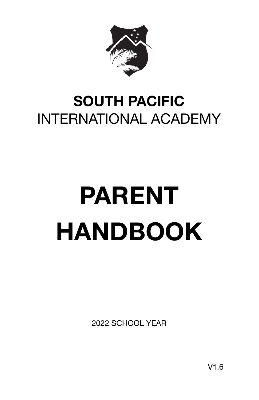

# **SOUTH PACIFIC**  INTERNATIONAL ACADEMY

# **PARENT HANDBOOK**

2022 SCHOOL YEAR

V1.6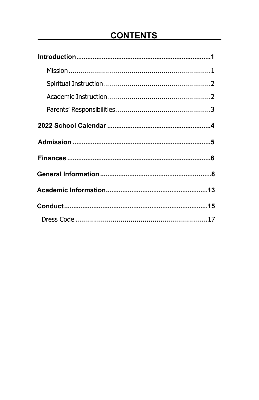# **CONTENTS**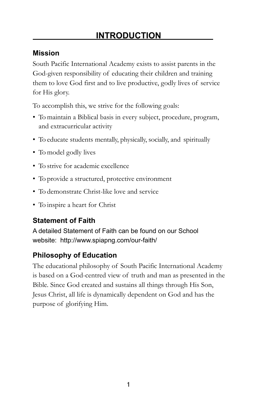#### **Mission**

South Pacific International Academy exists to assist parents in the God-given responsibility of educating their children and training them to love God first and to live productive, godly lives of service for His glory.

To accomplish this, we strive for the following goals:

- To maintain a Biblical basis in every subject, procedure, program, and extracurricular activity
- To educate students mentally, physically, socially, and spiritually
- To model godly lives
- To strive for academic excellence
- To provide a structured, protective environment
- To demonstrate Christ-like love and service
- To inspire a heart for Christ

#### **Statement of Faith**

A detailed Statement of Faith can be found on our School website: <http://www.spiapng.com/our-faith/>

#### **Philosophy of Education**

The educational philosophy of South Pacific International Academy is based on a God-centred view of truth and man as presented in the Bible. Since God created and sustains all things through His Son, Jesus Christ, all life is dynamically dependent on God and has the purpose of glorifying Him.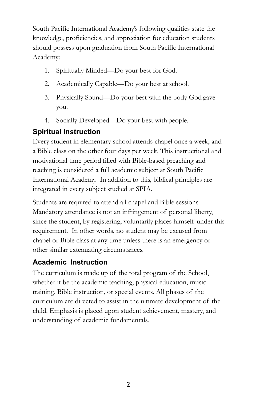South Pacific International Academy's following qualities state the knowledge, proficiencies, and appreciation for education students should possess upon graduation from South Pacific International Academy:

- 1. Spiritually Minded—Do your best for God.
- 2. Academically Capable—Do your best at school.
- 3. Physically Sound—Do your best with the body God gave you.
- 4. Socially Developed—Do your best with people.

#### **Spiritual Instruction**

Every student in elementary school attends chapel once a week, and a Bible class on the other four days per week. This instructional and motivational time period filled with Bible-based preaching and teaching is considered a full academic subject at South Pacific International Academy. In addition to this, biblical principles are integrated in every subject studied at SPIA.

Students are required to attend all chapel and Bible sessions. Mandatory attendance is not an infringement of personal liberty, since the student, by registering, voluntarily places himself under this requirement. In other words, no student may be excused from chapel or Bible class at any time unless there is an emergency or other similar extenuating circumstances.

#### **Academic Instruction**

The curriculum is made up of the total program of the School, whether it be the academic teaching, physical education, music training, Bible instruction, or special events. All phases of the curriculum are directed to assist in the ultimate development of the child. Emphasis is placed upon student achievement, mastery, and understanding of academic fundamentals.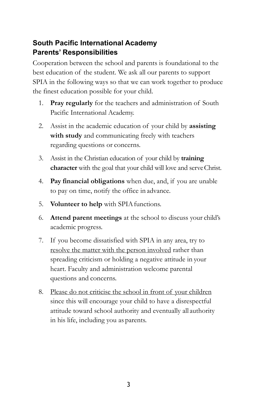#### **South Pacific International Academy Parents' Responsibilities**

Cooperation between the school and parents is foundational to the best education of the student. We ask all our parents to support SPIA in the following ways so that we can work together to produce the finest education possible for your child.

- 1. **Pray regularly** for the teachers and administration of South Pacific International Academy.
- 2. Assist in the academic education of your child by **assisting with study** and communicating freely with teachers regarding questions or concerns.
- 3. Assist in the Christian education of your child by **training character** with the goal that your child will love and serveChrist.
- 4. **Pay financial obligations** when due, and, if you are unable to pay on time, notify the office in advance.
- 5. **Volunteer to help** with SPIA functions.
- 6. **Attend parent meetings** at the school to discuss your child's academic progress.
- 7. If you become dissatisfied with SPIA in any area, try to resolve the matter with the person involved rather than spreading criticism or holding a negative attitude in your heart. Faculty and administration welcome parental questions and concerns.
- 8. Please do not criticise the school in front of your children since this will encourage your child to have a disrespectful attitude toward school authority and eventually all authority in his life, including you as parents.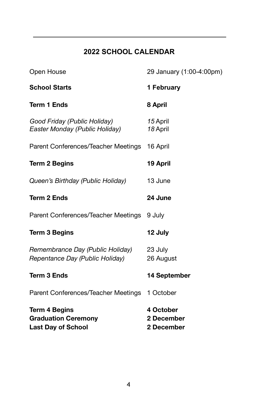#### **2022 SCHOOL CALENDAR**

| Open House                                                                      | 29 January (1:00-4:00pm)              |
|---------------------------------------------------------------------------------|---------------------------------------|
| <b>School Starts</b>                                                            | 1 February                            |
| <b>Term 1 Ends</b>                                                              | 8 April                               |
| Good Friday (Public Holiday)<br>Easter Monday (Public Holiday)                  | 15 April<br>18 April                  |
| Parent Conferences/Teacher Meetings                                             | 16 April                              |
| <b>Term 2 Begins</b>                                                            | 19 April                              |
| Queen's Birthday (Public Holiday)                                               | 13 June                               |
| <b>Term 2 Ends</b>                                                              | 24 June                               |
| Parent Conferences/Teacher Meetings                                             | 9 July                                |
| <b>Term 3 Begins</b>                                                            | 12 July                               |
| Remembrance Day (Public Holiday)<br>Repentance Day (Public Holiday)             | 23 July<br>26 August                  |
| <b>Term 3 Ends</b>                                                              | 14 September                          |
| Parent Conferences/Teacher Meetings 1 October                                   |                                       |
| <b>Term 4 Begins</b><br><b>Graduation Ceremony</b><br><b>Last Day of School</b> | 4 October<br>2 December<br>2 December |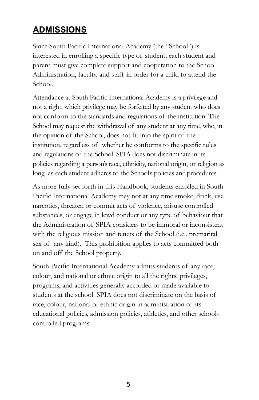# **ADMISSIONS**

Since South Pacific International Academy (the "School") is interested in enrolling a specific type of student, each student and parent must give complete support and cooperation to the School Administration, faculty, and staff in order for a child to attend the School.

Attendance at South Pacific International Academy is a privilege and not a right, which privilege may be forfeited by any student who does not conform to the standards and regulations of the institution. The School may request the withdrawal of any student at any time, who, in the opinion of the School, does not fit into the spirit of the institution, regardless of whether he conforms to the specific rules and regulations of the School. SPIA does not discriminate in its policies regarding a person's race, ethnicity, national origin, or religion as long as each student adheres to the School's policies and procedures.

As more fully set forth in this Handbook, students enrolled in South Pacific International Academy may not at any time smoke, drink, use narcotics, threaten or commit acts of violence, misuse controlled substances, or engage in lewd conduct or any type of behaviour that the Administration of SPIA considers to be immoral or inconsistent with the religious mission and tenets of the School (i.e., premarital sex of any kind). This prohibition applies to acts committed both on and off the School property.

South Pacific International Academy admits students of any race, colour, and national or ethnic origin to all the rights, privileges, programs, and activities generally accorded or made available to students at the school. SPIA does not discriminate on the basis of race, colour, national or ethnic origin in administration of its educational policies, admission policies, athletics, and other schoolcontrolled programs.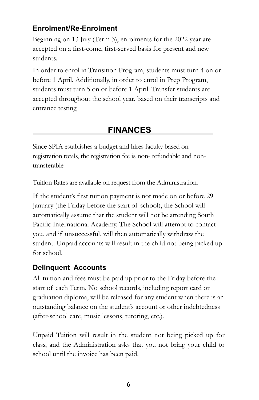#### **Enrolment/Re-Enrolment**

Beginning on 13 July (Term 3), enrolments for the 2022 year are accepted on a first-come, first-served basis for present and new students.

In order to enrol in Transition Program, students must turn 4 on or before 1 April. Additionally, in order to enrol in Prep Program, students must turn 5 on or before 1 April. Transfer students are accepted throughout the school year, based on their transcripts and entrance testing.

#### **FINANCES**

Since SPIA establishes a budget and hires faculty based on registration totals, the registration fee is non- refundable and nontransferable.

Tuition Rates are available on request from the Administration.

If the student's first tuition payment is not made on or before 29 January (the Friday before the start of school), the School will automatically assume that the student will not be attending South Pacific International Academy. The School will attempt to contact you, and if unsuccessful, will then automatically withdraw the student. Unpaid accounts will result in the child not being picked up for school.

#### **Delinquent Accounts**

All tuition and fees must be paid up prior to the Friday before the start of each Term. No school records, including report card or graduation diploma, will be released for any student when there is an outstanding balance on the student's account or other indebtedness (after-school care, music lessons, tutoring, etc.).

Unpaid Tuition will result in the student not being picked up for class, and the Administration asks that you not bring your child to school until the invoice has been paid.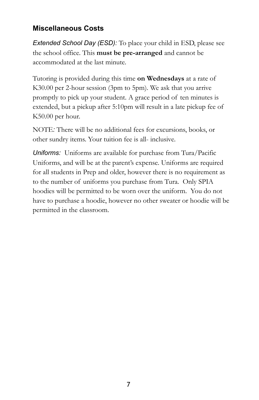#### **Miscellaneous Costs**

*Extended School Day (ESD):* To place your child in ESD, please see the school office. This **must be pre-arranged** and cannot be accommodated at the last minute.

Tutoring is provided during this time **on Wednesdays** at a rate of K30.00 per 2-hour session (3pm to 5pm). We ask that you arrive promptly to pick up your student. A grace period of ten minutes is extended, but a pickup after 5:10pm will result in a late pickup fee of K50.00 per hour.

NOTE*:* There will be no additional fees for excursions, books, or other sundry items. Your tuition fee is all- inclusive.

*Uniforms:* Uniforms are available for purchase from Tura/Pacific Uniforms, and will be at the parent's expense. Uniforms are required for all students in Prep and older, however there is no requirement as to the number of uniforms you purchase from Tura. Only SPIA hoodies will be permitted to be worn over the uniform. You do not have to purchase a hoodie, however no other sweater or hoodie will be permitted in the classroom.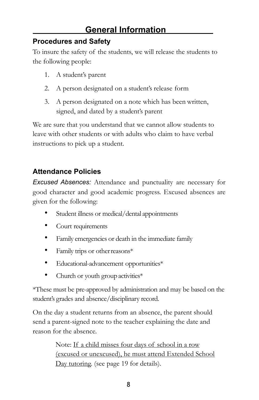# **General Information**

#### **Procedures and Safety**

To insure the safety of the students, we will release the students to the following people:

- 1. A student's parent
- 2. A person designated on a student's release form
- 3. A person designated on a note which has been written, signed, and dated by a student's parent

We are sure that you understand that we cannot allow students to leave with other students or with adults who claim to have verbal instructions to pick up a student.

#### **Attendance Policies**

*Excused Absences:* Attendance and punctuality are necessary for good character and good academic progress. Excused absences are given for the following:

- Student illness or medical/dental appointments
- Court requirements
- Family emergencies or death in the immediate family
- Family trips or other reasons\*
- Educational-advancement opportunities\*
- Church or youth group activities $*$

\*These must be pre-approved by administration and may be based on the student's grades and absence/disciplinary record.

On the day a student returns from an absence, the parent should send a parent-signed note to the teacher explaining the date and reason for the absence.

> Note: If a child misses four days of school in a row (excused or unexcused), he must attend Extended School Day tutoring. (see page 19 for details).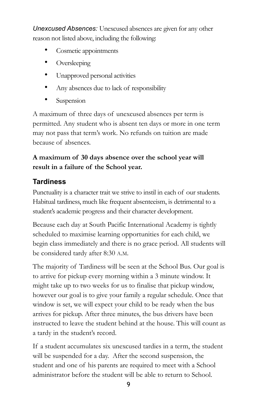*Unexcused Absences:* Unexcused absences are given for any other reason not listed above, including the following:

- Cosmetic appointments
- Oversleeping
- Unapproved personal activities
- Any absences due to lack of responsibility
- Suspension

A maximum of three days of unexcused absences per term is permitted. Any student who is absent ten days or more in one term may not pass that term's work. No refunds on tuition are made because of absences.

#### **A maximum of 30 days absence over the school year will result in a failure of the School year.**

#### **Tardiness**

Punctuality is a character trait we strive to instil in each of our students. Habitual tardiness, much like frequent absenteeism, is detrimental to a student's academic progress and their character development.

Because each day at South Pacific International Academy is tightly scheduled to maximise learning opportunities for each child, we begin class immediately and there is no grace period. All students will be considered tardy after 8:30 A.M.

The majority of Tardiness will be seen at the School Bus. Our goal is to arrive for pickup every morning within a 3 minute window. It might take up to two weeks for us to finalise that pickup window, however our goal is to give your family a regular schedule. Once that window is set, we will expect your child to be ready when the bus arrives for pickup. After three minutes, the bus drivers have been instructed to leave the student behind at the house. This will count as a tardy in the student's record.

If a student accumulates six unexcused tardies in a term, the student will be suspended for a day. After the second suspension, the student and one of his parents are required to meet with a School administrator before the student will be able to return to School.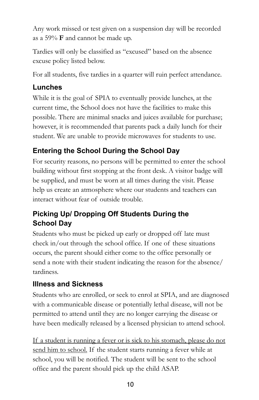Any work missed or test given on a suspension day will be recorded as a 59% **F** and cannot be made up.

Tardies will only be classified as "excused" based on the absence excuse policy listed below.

For all students, five tardies in a quarter will ruin perfect attendance.

#### **Lunches**

While it is the goal of SPIA to eventually provide lunches, at the current time, the School does not have the facilities to make this possible. There are minimal snacks and juices available for purchase; however, it is recommended that parents pack a daily lunch for their student. We are unable to provide microwaves for students to use.

# **Entering the School During the School Day**

For security reasons, no persons will be permitted to enter the school building without first stopping at the front desk. A visitor badge will be supplied, and must be worn at all times during the visit. Please help us create an atmosphere where our students and teachers can interact without fear of outside trouble.

# **Picking Up/ Dropping Off Students During the School Day**

Students who must be picked up early or dropped off late must check in/out through the school office. If one of these situations occurs, the parent should either come to the office personally or send a note with their student indicating the reason for the absence/ tardiness.

# **Illness and Sickness**

Students who are enrolled, or seek to enrol at SPIA, and are diagnosed with a communicable disease or potentially lethal disease, will not be permitted to attend until they are no longer carrying the disease or have been medically released by a licensed physician to attend school.

If a student is running a fever or is sick to his stomach, please do not send him to school. If the student starts running a fever while at school, you will be notified. The student will be sent to the school office and the parent should pick up the child ASAP.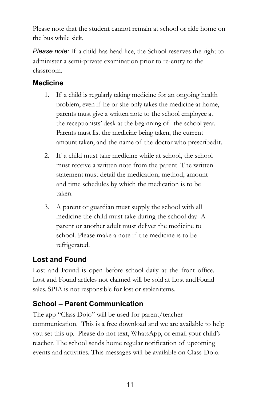Please note that the student cannot remain at school or ride home on the bus while sick.

*Please note:* If a child has head lice, the School reserves the right to administer a semi-private examination prior to re-entry to the classroom.

#### **Medicine**

- 1. If a child is regularly taking medicine for an ongoing health problem, even if he or she only takes the medicine at home, parents must give a written note to the school employee at the receptionists' desk at the beginning of the school year. Parents must list the medicine being taken, the current amount taken, and the name of the doctor who prescribedit.
- 2. If a child must take medicine while at school, the school must receive a written note from the parent. The written statement must detail the medication, method, amount and time schedules by which the medication is to be taken.
- 3. A parent or guardian must supply the school with all medicine the child must take during the school day. A parent or another adult must deliver the medicine to school. Please make a note if the medicine is to be refrigerated.

#### **Lost and Found**

Lost and Found is open before school daily at the front office. Lost and Found articles not claimed will be sold at Lost andFound sales. SPIA is not responsible for lost or stolenitems.

#### **School – Parent Communication**

The app "Class Dojo" will be used for parent/teacher communication. This is a free download and we are available to help you set this up. Please do not text, WhatsApp, or email your child's teacher. The school sends home regular notification of upcoming events and activities. This messages will be available on Class-Dojo.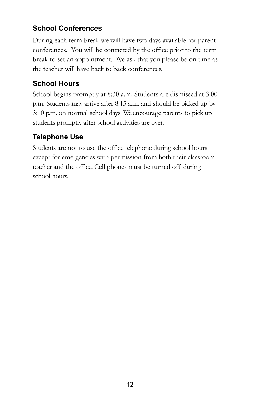#### **School Conferences**

During each term break we will have two days available for parent conferences. You will be contacted by the office prior to the term break to set an appointment. We ask that you please be on time as the teacher will have back to back conferences.

# **School Hours**

School begins promptly at 8:30 a.m. Students are dismissed at 3:00 p.m. Students may arrive after 8:15 a.m. and should be picked up by 3:10 p.m. on normal school days. We encourage parents to pick up students promptly after school activities are over.

# **Telephone Use**

Students are not to use the office telephone during school hours except for emergencies with permission from both their classroom teacher and the office. Cell phones must be turned off during school hours.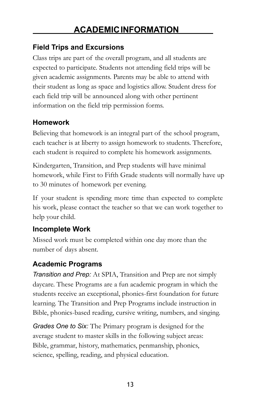#### **Field Trips and Excursions**

Class trips are part of the overall program, and all students are expected to participate. Students not attending field trips will be given academic assignments. Parents may be able to attend with their student as long as space and logistics allow. Student dress for each field trip will be announced along with other pertinent information on the field trip permission forms.

#### **Homework**

Believing that homework is an integral part of the school program, each teacher is at liberty to assign homework to students. Therefore, each student is required to complete his homework assignments.

Kindergarten, Transition, and Prep students will have minimal homework, while First to Fifth Grade students will normally have up to 30 minutes of homework per evening.

If your student is spending more time than expected to complete his work, please contact the teacher so that we can work together to help your child.

#### **Incomplete Work**

Missed work must be completed within one day more than the number of days absent.

#### **Academic Programs**

*Transition and Prep:* At SPIA, Transition and Prep are not simply daycare. These Programs are a fun academic program in which the students receive an exceptional, phonics-first foundation for future learning. The Transition and Prep Programs include instruction in Bible, phonics-based reading, cursive writing, numbers, and singing.

*Grades One to Six:* The Primary program is designed for the average student to master skills in the following subject areas: Bible, grammar, history, mathematics, penmanship, phonics, science, spelling, reading, and physical education.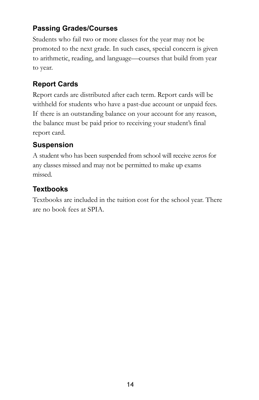#### **Passing Grades/Courses**

Students who fail two or more classes for the year may not be promoted to the next grade. In such cases, special concern is given to arithmetic, reading, and language—courses that build from year to year.

#### **Report Cards**

Report cards are distributed after each term. Report cards will be withheld for students who have a past-due account or unpaid fees. If there is an outstanding balance on your account for any reason, the balance must be paid prior to receiving your student's final report card.

# **Suspension**

A student who has been suspended from school will receive zeros for any classes missed and may not be permitted to make up exams missed.

# **Textbooks**

Textbooks are included in the tuition cost for the school year. There are no book fees at SPIA.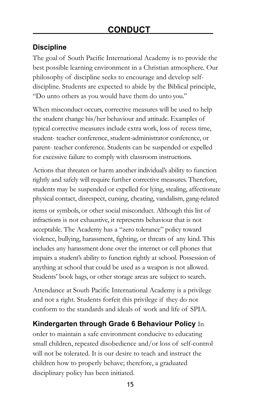#### **Discipline**

The goal of South Pacific International Academy is to provide the best possible learning environment in a Christian atmosphere. Our philosophy of discipline seeks to encourage and develop selfdiscipline. Students are expected to abide by the Biblical principle, "Do unto others as you would have them do unto you."

When misconduct occurs, corrective measures will be used to help the student change his/her behaviour and attitude. Examples of typical corrective measures include extra work, loss of recess time, student- teacher conference, student-administrator conference, or parent- teacher conference. Students can be suspended or expelled for excessive failure to comply with classroom instructions.

Actions that threaten or harm another individual's ability to function rightly and safely will require further corrective measures. Therefore, students may be suspended or expelled for lying, stealing, affectionate physical contact, disrespect, cursing, cheating, vandalism, gang-related items or symbols, or other social misconduct. Although this list of infractions is not exhaustive, it represents behaviour that is not acceptable. The Academy has a "zero tolerance" policy toward violence, bullying, harassment, fighting, or threats of any kind. This includes any harassment done over the internet or cell phones that impairs a student's ability to function rightly at school. Possession of anything at school that could be used as a weapon is not allowed. Students' book bags, or other storage areas are subject to search.

Attendance at South Pacific International Academy is a privilege and not a right. Students forfeit this privilege if they do not conform to the standards and ideals of work and life of SPIA.

#### **Kindergarten through Grade 6 Behaviour Policy** In

order to maintain a safe environment conducive to educating small children, repeated disobedience and/or loss of self-control will not be tolerated. It is our desire to teach and instruct the children how to properly behave; therefore, a graduated disciplinary policy has been initiated.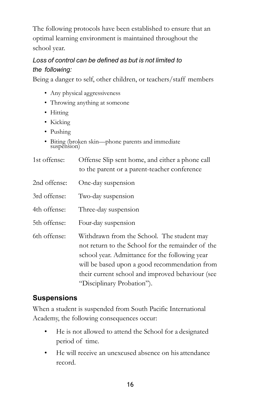The following protocols have been established to ensure that an optimal learning environment is maintained throughout the school year.

#### *Loss of control can be defined as but is not limited to the following:*

Being a danger to self, other children, or teachers/staff members

- Any physical aggressiveness
- Throwing anything at someone
- Hitting
- Kicking
- Pushing
- Biting (broken skin—phone parents and immediate suspension)

| 1st offense: | Offense Slip sent home, and either a phone call |
|--------------|-------------------------------------------------|
|              | to the parent or a parent-teacher conference    |

- 2nd offense: One-day suspension
- 3rd offense: Two-day suspension
- 4th offense: Three-day suspension
- 5th offense: Four-day suspension
- 6th offense: Withdrawn from the School. The student may not return to the School for the remainder of the school year. Admittance for the following year will be based upon a good recommendation from their current school and improved behaviour (see "Disciplinary Probation").

#### **Suspensions**

When a student is suspended from South Pacific International Academy, the following consequences occur:

- He is not allowed to attend the School for a designated period of time.
- He will receive an unexcused absence on his attendance record.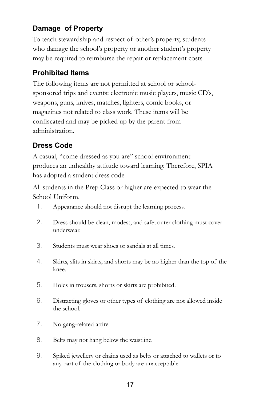#### **Damage of Property**

To teach stewardship and respect of other's property, students who damage the school's property or another student's property may be required to reimburse the repair or replacement costs.

#### **Prohibited Items**

The following items are not permitted at school or schoolsponsored trips and events: electronic music players, music CD's, weapons, guns, knives, matches, lighters, comic books, or magazines not related to class work. These items will be confiscated and may be picked up by the parent from administration.

#### **Dress Code**

A casual, "come dressed as you are" school environment produces an unhealthy attitude toward learning. Therefore, SPIA has adopted a student dress code.

All students in the Prep Class or higher are expected to wear the School Uniform.

- 1. Appearance should not disrupt the learning process.
- 2. Dress should be clean, modest, and safe; outer clothing must cover underwear.
- 3. Students must wear shoes or sandals at all times.
- 4. Skirts, slits in skirts, and shorts may be no higher than the top of the knee.
- 5. Holes in trousers, shorts or skirts are prohibited.
- 6. Distracting gloves or other types of clothing are not allowed inside the school.
- 7. No gang-related attire.
- 8. Belts may not hang below the waistline.
- 9. Spiked jewellery or chains used as belts or attached to wallets or to any part of the clothing or body are unacceptable.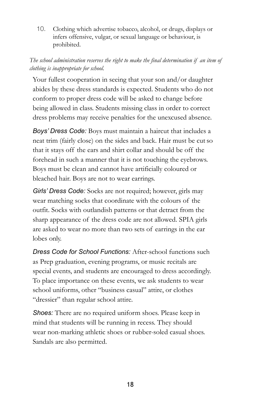10. Clothing which advertise tobacco, alcohol, or drugs, displays or infers offensive, vulgar, or sexual language or behaviour, is prohibited.

#### *The school administration reserves the right to make the final determination if an item of clothing is inappropriate for school.*

Your fullest cooperation in seeing that your son and/or daughter abides by these dress standards is expected. Students who do not conform to proper dress code will be asked to change before being allowed in class. Students missing class in order to correct dress problems may receive penalties for the unexcused absence.

*Boys' Dress Code:* Boys must maintain a haircut that includes a neat trim (fairly close) on the sides and back. Hair must be cutso that it stays off the ears and shirt collar and should be off the forehead in such a manner that it is not touching the eyebrows. Boys must be clean and cannot have artificially coloured or bleached hair. Boys are not to wear earrings.

*Girls' Dress Code:* Socks are not required; however, girls may wear matching socks that coordinate with the colours of the outfit. Socks with outlandish patterns or that detract from the sharp appearance of the dress code are not allowed. SPIA girls are asked to wear no more than two sets of earrings in the ear lobes only.

*Dress Code for School Functions:* After-school functions such as Prep graduation, evening programs, or music recitals are special events, and students are encouraged to dress accordingly. To place importance on these events, we ask students to wear school uniforms, other "business casual" attire, or clothes "dressier" than regular school attire.

*Shoes:* There are no required uniform shoes. Please keep in mind that students will be running in recess. They should wear non-marking athletic shoes or rubber-soled casual shoes. Sandals are also permitted.